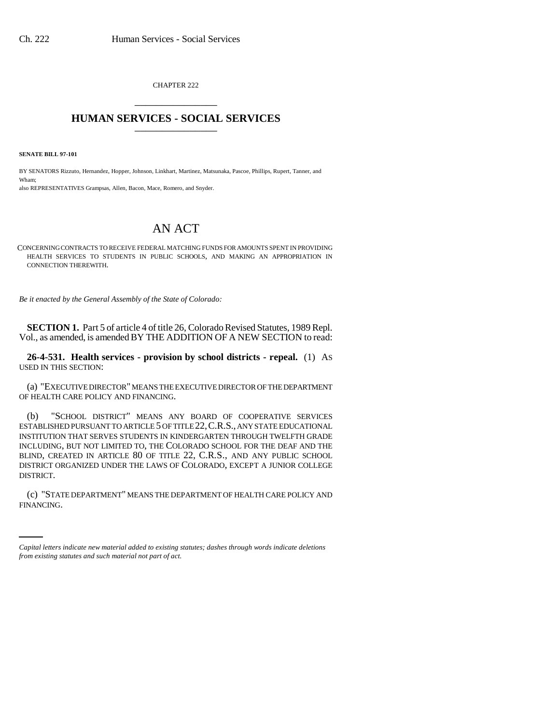CHAPTER 222 \_\_\_\_\_\_\_\_\_\_\_\_\_\_\_

## **HUMAN SERVICES - SOCIAL SERVICES** \_\_\_\_\_\_\_\_\_\_\_\_\_\_\_

**SENATE BILL 97-101**

BY SENATORS Rizzuto, Hernandez, Hopper, Johnson, Linkhart, Martinez, Matsunaka, Pascoe, Phillips, Rupert, Tanner, and Wham; also REPRESENTATIVES Grampsas, Allen, Bacon, Mace, Romero, and Snyder.

## AN ACT

CONCERNING CONTRACTS TO RECEIVE FEDERAL MATCHING FUNDS FOR AMOUNTS SPENT IN PROVIDING HEALTH SERVICES TO STUDENTS IN PUBLIC SCHOOLS, AND MAKING AN APPROPRIATION IN CONNECTION THEREWITH.

*Be it enacted by the General Assembly of the State of Colorado:*

**SECTION 1.** Part 5 of article 4 of title 26, Colorado Revised Statutes, 1989 Repl. Vol., as amended, is amended BY THE ADDITION OF A NEW SECTION to read:

**26-4-531. Health services - provision by school districts - repeal.** (1) AS USED IN THIS SECTION:

(a) "EXECUTIVE DIRECTOR" MEANS THE EXECUTIVE DIRECTOR OF THE DEPARTMENT OF HEALTH CARE POLICY AND FINANCING.

(b) "SCHOOL DISTRICT" MEANS ANY BOARD OF COOPERATIVE SERVICES ESTABLISHED PURSUANT TO ARTICLE 5 OF TITLE 22,C.R.S., ANY STATE EDUCATIONAL INSTITUTION THAT SERVES STUDENTS IN KINDERGARTEN THROUGH TWELFTH GRADE INCLUDING, BUT NOT LIMITED TO, THE COLORADO SCHOOL FOR THE DEAF AND THE BLIND, CREATED IN ARTICLE 80 OF TITLE 22, C.R.S., AND ANY PUBLIC SCHOOL DISTRICT ORGANIZED UNDER THE LAWS OF COLORADO, EXCEPT A JUNIOR COLLEGE DISTRICT.

(c) "STATE DEPARTMENT" MEANS THE DEPARTMENT OF HEALTH CARE POLICY AND FINANCING.

*Capital letters indicate new material added to existing statutes; dashes through words indicate deletions from existing statutes and such material not part of act.*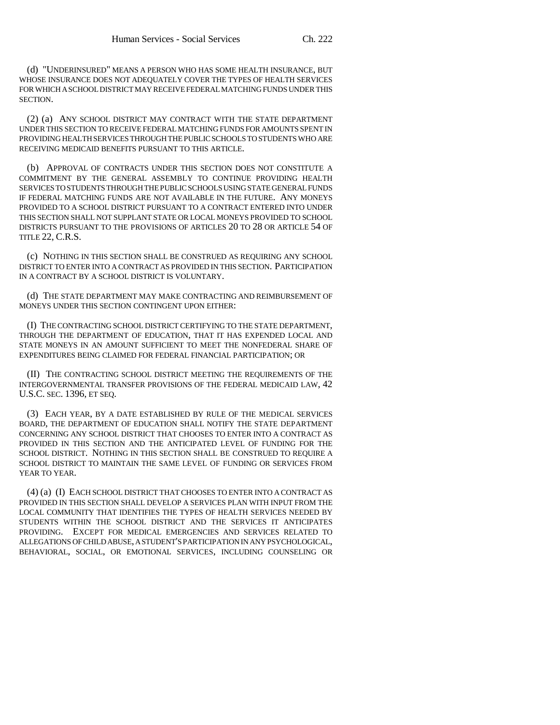(d) "UNDERINSURED" MEANS A PERSON WHO HAS SOME HEALTH INSURANCE, BUT WHOSE INSURANCE DOES NOT ADEQUATELY COVER THE TYPES OF HEALTH SERVICES FOR WHICH A SCHOOL DISTRICT MAY RECEIVE FEDERAL MATCHING FUNDS UNDER THIS SECTION.

(2) (a) ANY SCHOOL DISTRICT MAY CONTRACT WITH THE STATE DEPARTMENT UNDER THIS SECTION TO RECEIVE FEDERAL MATCHING FUNDS FOR AMOUNTS SPENT IN PROVIDING HEALTH SERVICES THROUGH THE PUBLIC SCHOOLS TO STUDENTS WHO ARE RECEIVING MEDICAID BENEFITS PURSUANT TO THIS ARTICLE.

(b) APPROVAL OF CONTRACTS UNDER THIS SECTION DOES NOT CONSTITUTE A COMMITMENT BY THE GENERAL ASSEMBLY TO CONTINUE PROVIDING HEALTH SERVICES TO STUDENTS THROUGH THE PUBLIC SCHOOLS USING STATE GENERAL FUNDS IF FEDERAL MATCHING FUNDS ARE NOT AVAILABLE IN THE FUTURE. ANY MONEYS PROVIDED TO A SCHOOL DISTRICT PURSUANT TO A CONTRACT ENTERED INTO UNDER THIS SECTION SHALL NOT SUPPLANT STATE OR LOCAL MONEYS PROVIDED TO SCHOOL DISTRICTS PURSUANT TO THE PROVISIONS OF ARTICLES 20 TO 28 OR ARTICLE 54 OF TITLE 22, C.R.S.

(c) NOTHING IN THIS SECTION SHALL BE CONSTRUED AS REQUIRING ANY SCHOOL DISTRICT TO ENTER INTO A CONTRACT AS PROVIDED IN THIS SECTION. PARTICIPATION IN A CONTRACT BY A SCHOOL DISTRICT IS VOLUNTARY.

(d) THE STATE DEPARTMENT MAY MAKE CONTRACTING AND REIMBURSEMENT OF MONEYS UNDER THIS SECTION CONTINGENT UPON EITHER:

(I) THE CONTRACTING SCHOOL DISTRICT CERTIFYING TO THE STATE DEPARTMENT, THROUGH THE DEPARTMENT OF EDUCATION, THAT IT HAS EXPENDED LOCAL AND STATE MONEYS IN AN AMOUNT SUFFICIENT TO MEET THE NONFEDERAL SHARE OF EXPENDITURES BEING CLAIMED FOR FEDERAL FINANCIAL PARTICIPATION; OR

(II) THE CONTRACTING SCHOOL DISTRICT MEETING THE REQUIREMENTS OF THE INTERGOVERNMENTAL TRANSFER PROVISIONS OF THE FEDERAL MEDICAID LAW, 42 U.S.C. SEC. 1396, ET SEQ.

(3) EACH YEAR, BY A DATE ESTABLISHED BY RULE OF THE MEDICAL SERVICES BOARD, THE DEPARTMENT OF EDUCATION SHALL NOTIFY THE STATE DEPARTMENT CONCERNING ANY SCHOOL DISTRICT THAT CHOOSES TO ENTER INTO A CONTRACT AS PROVIDED IN THIS SECTION AND THE ANTICIPATED LEVEL OF FUNDING FOR THE SCHOOL DISTRICT. NOTHING IN THIS SECTION SHALL BE CONSTRUED TO REQUIRE A SCHOOL DISTRICT TO MAINTAIN THE SAME LEVEL OF FUNDING OR SERVICES FROM YEAR TO YEAR.

(4) (a) (I) EACH SCHOOL DISTRICT THAT CHOOSES TO ENTER INTO A CONTRACT AS PROVIDED IN THIS SECTION SHALL DEVELOP A SERVICES PLAN WITH INPUT FROM THE LOCAL COMMUNITY THAT IDENTIFIES THE TYPES OF HEALTH SERVICES NEEDED BY STUDENTS WITHIN THE SCHOOL DISTRICT AND THE SERVICES IT ANTICIPATES PROVIDING. EXCEPT FOR MEDICAL EMERGENCIES AND SERVICES RELATED TO ALLEGATIONS OF CHILD ABUSE, A STUDENT'S PARTICIPATION IN ANY PSYCHOLOGICAL, BEHAVIORAL, SOCIAL, OR EMOTIONAL SERVICES, INCLUDING COUNSELING OR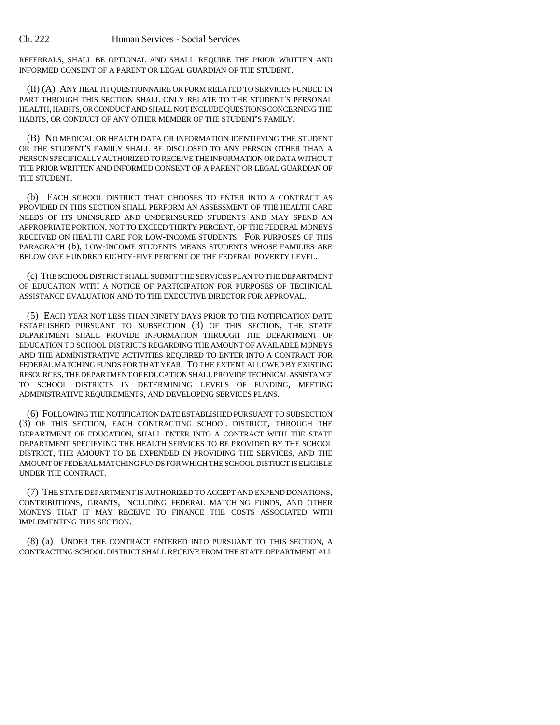REFERRALS, SHALL BE OPTIONAL AND SHALL REQUIRE THE PRIOR WRITTEN AND INFORMED CONSENT OF A PARENT OR LEGAL GUARDIAN OF THE STUDENT.

(II) (A) ANY HEALTH QUESTIONNAIRE OR FORM RELATED TO SERVICES FUNDED IN PART THROUGH THIS SECTION SHALL ONLY RELATE TO THE STUDENT'S PERSONAL HEALTH, HABITS, OR CONDUCT AND SHALL NOT INCLUDE QUESTIONS CONCERNING THE HABITS, OR CONDUCT OF ANY OTHER MEMBER OF THE STUDENT'S FAMILY.

(B) NO MEDICAL OR HEALTH DATA OR INFORMATION IDENTIFYING THE STUDENT OR THE STUDENT'S FAMILY SHALL BE DISCLOSED TO ANY PERSON OTHER THAN A PERSON SPECIFICALLY AUTHORIZED TO RECEIVE THE INFORMATION OR DATA WITHOUT THE PRIOR WRITTEN AND INFORMED CONSENT OF A PARENT OR LEGAL GUARDIAN OF THE STUDENT.

(b) EACH SCHOOL DISTRICT THAT CHOOSES TO ENTER INTO A CONTRACT AS PROVIDED IN THIS SECTION SHALL PERFORM AN ASSESSMENT OF THE HEALTH CARE NEEDS OF ITS UNINSURED AND UNDERINSURED STUDENTS AND MAY SPEND AN APPROPRIATE PORTION, NOT TO EXCEED THIRTY PERCENT, OF THE FEDERAL MONEYS RECEIVED ON HEALTH CARE FOR LOW-INCOME STUDENTS. FOR PURPOSES OF THIS PARAGRAPH (b), LOW-INCOME STUDENTS MEANS STUDENTS WHOSE FAMILIES ARE BELOW ONE HUNDRED EIGHTY-FIVE PERCENT OF THE FEDERAL POVERTY LEVEL.

(c) THE SCHOOL DISTRICT SHALL SUBMIT THE SERVICES PLAN TO THE DEPARTMENT OF EDUCATION WITH A NOTICE OF PARTICIPATION FOR PURPOSES OF TECHNICAL ASSISTANCE EVALUATION AND TO THE EXECUTIVE DIRECTOR FOR APPROVAL.

(5) EACH YEAR NOT LESS THAN NINETY DAYS PRIOR TO THE NOTIFICATION DATE ESTABLISHED PURSUANT TO SUBSECTION (3) OF THIS SECTION, THE STATE DEPARTMENT SHALL PROVIDE INFORMATION THROUGH THE DEPARTMENT OF EDUCATION TO SCHOOL DISTRICTS REGARDING THE AMOUNT OF AVAILABLE MONEYS AND THE ADMINISTRATIVE ACTIVITIES REQUIRED TO ENTER INTO A CONTRACT FOR FEDERAL MATCHING FUNDS FOR THAT YEAR. TO THE EXTENT ALLOWED BY EXISTING RESOURCES, THE DEPARTMENT OF EDUCATION SHALL PROVIDE TECHNICAL ASSISTANCE TO SCHOOL DISTRICTS IN DETERMINING LEVELS OF FUNDING, MEETING ADMINISTRATIVE REQUIREMENTS, AND DEVELOPING SERVICES PLANS.

(6) FOLLOWING THE NOTIFICATION DATE ESTABLISHED PURSUANT TO SUBSECTION (3) OF THIS SECTION, EACH CONTRACTING SCHOOL DISTRICT, THROUGH THE DEPARTMENT OF EDUCATION, SHALL ENTER INTO A CONTRACT WITH THE STATE DEPARTMENT SPECIFYING THE HEALTH SERVICES TO BE PROVIDED BY THE SCHOOL DISTRICT, THE AMOUNT TO BE EXPENDED IN PROVIDING THE SERVICES, AND THE AMOUNT OF FEDERAL MATCHING FUNDS FOR WHICH THE SCHOOL DISTRICT IS ELIGIBLE UNDER THE CONTRACT.

(7) THE STATE DEPARTMENT IS AUTHORIZED TO ACCEPT AND EXPEND DONATIONS, CONTRIBUTIONS, GRANTS, INCLUDING FEDERAL MATCHING FUNDS, AND OTHER MONEYS THAT IT MAY RECEIVE TO FINANCE THE COSTS ASSOCIATED WITH IMPLEMENTING THIS SECTION.

(8) (a) UNDER THE CONTRACT ENTERED INTO PURSUANT TO THIS SECTION, A CONTRACTING SCHOOL DISTRICT SHALL RECEIVE FROM THE STATE DEPARTMENT ALL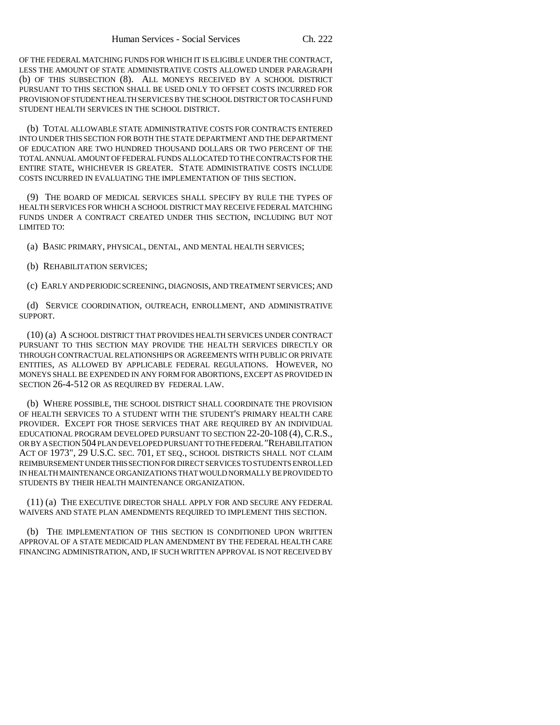OF THE FEDERAL MATCHING FUNDS FOR WHICH IT IS ELIGIBLE UNDER THE CONTRACT, LESS THE AMOUNT OF STATE ADMINISTRATIVE COSTS ALLOWED UNDER PARAGRAPH (b) OF THIS SUBSECTION (8). ALL MONEYS RECEIVED BY A SCHOOL DISTRICT PURSUANT TO THIS SECTION SHALL BE USED ONLY TO OFFSET COSTS INCURRED FOR PROVISION OF STUDENT HEALTH SERVICES BY THE SCHOOL DISTRICT OR TO CASH FUND STUDENT HEALTH SERVICES IN THE SCHOOL DISTRICT.

(b) TOTAL ALLOWABLE STATE ADMINISTRATIVE COSTS FOR CONTRACTS ENTERED INTO UNDER THIS SECTION FOR BOTH THE STATE DEPARTMENT AND THE DEPARTMENT OF EDUCATION ARE TWO HUNDRED THOUSAND DOLLARS OR TWO PERCENT OF THE TOTAL ANNUAL AMOUNT OF FEDERAL FUNDS ALLOCATED TO THE CONTRACTS FOR THE ENTIRE STATE, WHICHEVER IS GREATER. STATE ADMINISTRATIVE COSTS INCLUDE COSTS INCURRED IN EVALUATING THE IMPLEMENTATION OF THIS SECTION.

(9) THE BOARD OF MEDICAL SERVICES SHALL SPECIFY BY RULE THE TYPES OF HEALTH SERVICES FOR WHICH A SCHOOL DISTRICT MAY RECEIVE FEDERAL MATCHING FUNDS UNDER A CONTRACT CREATED UNDER THIS SECTION, INCLUDING BUT NOT LIMITED TO:

(a) BASIC PRIMARY, PHYSICAL, DENTAL, AND MENTAL HEALTH SERVICES;

(b) REHABILITATION SERVICES;

(c) EARLY AND PERIODIC SCREENING, DIAGNOSIS, AND TREATMENT SERVICES; AND

(d) SERVICE COORDINATION, OUTREACH, ENROLLMENT, AND ADMINISTRATIVE SUPPORT.

(10) (a) A SCHOOL DISTRICT THAT PROVIDES HEALTH SERVICES UNDER CONTRACT PURSUANT TO THIS SECTION MAY PROVIDE THE HEALTH SERVICES DIRECTLY OR THROUGH CONTRACTUAL RELATIONSHIPS OR AGREEMENTS WITH PUBLIC OR PRIVATE ENTITIES, AS ALLOWED BY APPLICABLE FEDERAL REGULATIONS. HOWEVER, NO MONEYS SHALL BE EXPENDED IN ANY FORM FOR ABORTIONS, EXCEPT AS PROVIDED IN SECTION 26-4-512 OR AS REQUIRED BY FEDERAL LAW.

(b) WHERE POSSIBLE, THE SCHOOL DISTRICT SHALL COORDINATE THE PROVISION OF HEALTH SERVICES TO A STUDENT WITH THE STUDENT'S PRIMARY HEALTH CARE PROVIDER. EXCEPT FOR THOSE SERVICES THAT ARE REQUIRED BY AN INDIVIDUAL EDUCATIONAL PROGRAM DEVELOPED PURSUANT TO SECTION 22-20-108 (4), C.R.S., OR BY A SECTION 504 PLAN DEVELOPED PURSUANT TO THE FEDERAL "REHABILITATION ACT OF 1973", 29 U.S.C. SEC. 701, ET SEQ., SCHOOL DISTRICTS SHALL NOT CLAIM REIMBURSEMENT UNDER THIS SECTION FOR DIRECT SERVICES TO STUDENTS ENROLLED IN HEALTH MAINTENANCE ORGANIZATIONS THAT WOULD NORMALLY BE PROVIDED TO STUDENTS BY THEIR HEALTH MAINTENANCE ORGANIZATION.

(11) (a) THE EXECUTIVE DIRECTOR SHALL APPLY FOR AND SECURE ANY FEDERAL WAIVERS AND STATE PLAN AMENDMENTS REQUIRED TO IMPLEMENT THIS SECTION.

(b) THE IMPLEMENTATION OF THIS SECTION IS CONDITIONED UPON WRITTEN APPROVAL OF A STATE MEDICAID PLAN AMENDMENT BY THE FEDERAL HEALTH CARE FINANCING ADMINISTRATION, AND, IF SUCH WRITTEN APPROVAL IS NOT RECEIVED BY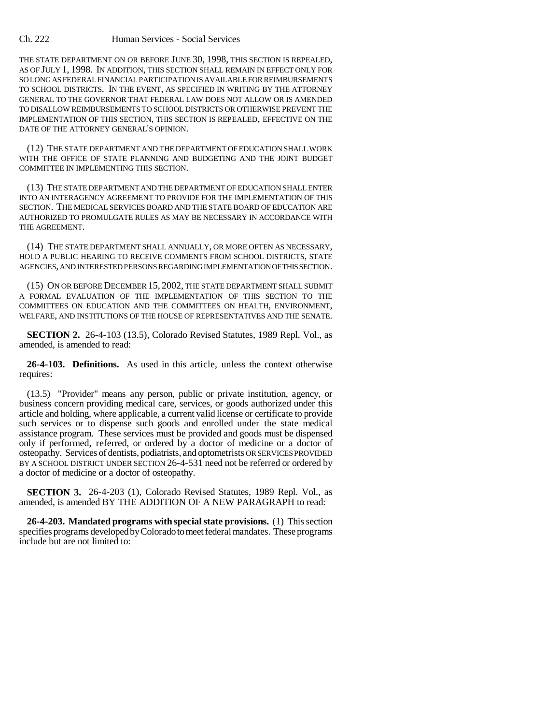## Ch. 222 Human Services - Social Services

THE STATE DEPARTMENT ON OR BEFORE JUNE 30, 1998, THIS SECTION IS REPEALED, AS OF JULY 1, 1998. IN ADDITION, THIS SECTION SHALL REMAIN IN EFFECT ONLY FOR SO LONG AS FEDERAL FINANCIAL PARTICIPATION IS AVAILABLE FOR REIMBURSEMENTS TO SCHOOL DISTRICTS. IN THE EVENT, AS SPECIFIED IN WRITING BY THE ATTORNEY GENERAL TO THE GOVERNOR THAT FEDERAL LAW DOES NOT ALLOW OR IS AMENDED TO DISALLOW REIMBURSEMENTS TO SCHOOL DISTRICTS OR OTHERWISE PREVENT THE IMPLEMENTATION OF THIS SECTION, THIS SECTION IS REPEALED, EFFECTIVE ON THE DATE OF THE ATTORNEY GENERAL'S OPINION.

(12) THE STATE DEPARTMENT AND THE DEPARTMENT OF EDUCATION SHALL WORK WITH THE OFFICE OF STATE PLANNING AND BUDGETING AND THE JOINT BUDGET COMMITTEE IN IMPLEMENTING THIS SECTION.

(13) THE STATE DEPARTMENT AND THE DEPARTMENT OF EDUCATION SHALL ENTER INTO AN INTERAGENCY AGREEMENT TO PROVIDE FOR THE IMPLEMENTATION OF THIS SECTION. THE MEDICAL SERVICES BOARD AND THE STATE BOARD OF EDUCATION ARE AUTHORIZED TO PROMULGATE RULES AS MAY BE NECESSARY IN ACCORDANCE WITH THE AGREEMENT.

(14) THE STATE DEPARTMENT SHALL ANNUALLY, OR MORE OFTEN AS NECESSARY, HOLD A PUBLIC HEARING TO RECEIVE COMMENTS FROM SCHOOL DISTRICTS, STATE AGENCIES, AND INTERESTED PERSONS REGARDING IMPLEMENTATION OF THIS SECTION.

(15) ON OR BEFORE DECEMBER 15, 2002, THE STATE DEPARTMENT SHALL SUBMIT A FORMAL EVALUATION OF THE IMPLEMENTATION OF THIS SECTION TO THE COMMITTEES ON EDUCATION AND THE COMMITTEES ON HEALTH, ENVIRONMENT, WELFARE, AND INSTITUTIONS OF THE HOUSE OF REPRESENTATIVES AND THE SENATE.

**SECTION 2.** 26-4-103 (13.5), Colorado Revised Statutes, 1989 Repl. Vol., as amended, is amended to read:

**26-4-103. Definitions.** As used in this article, unless the context otherwise requires:

(13.5) "Provider" means any person, public or private institution, agency, or business concern providing medical care, services, or goods authorized under this article and holding, where applicable, a current valid license or certificate to provide such services or to dispense such goods and enrolled under the state medical assistance program. These services must be provided and goods must be dispensed only if performed, referred, or ordered by a doctor of medicine or a doctor of osteopathy. Services of dentists, podiatrists, and optometrists OR SERVICES PROVIDED BY A SCHOOL DISTRICT UNDER SECTION 26-4-531 need not be referred or ordered by a doctor of medicine or a doctor of osteopathy.

**SECTION 3.** 26-4-203 (1), Colorado Revised Statutes, 1989 Repl. Vol., as amended, is amended BY THE ADDITION OF A NEW PARAGRAPH to read:

**26-4-203. Mandated programs with special state provisions.** (1) This section specifies programs developed by Colorado to meet federal mandates. These programs include but are not limited to: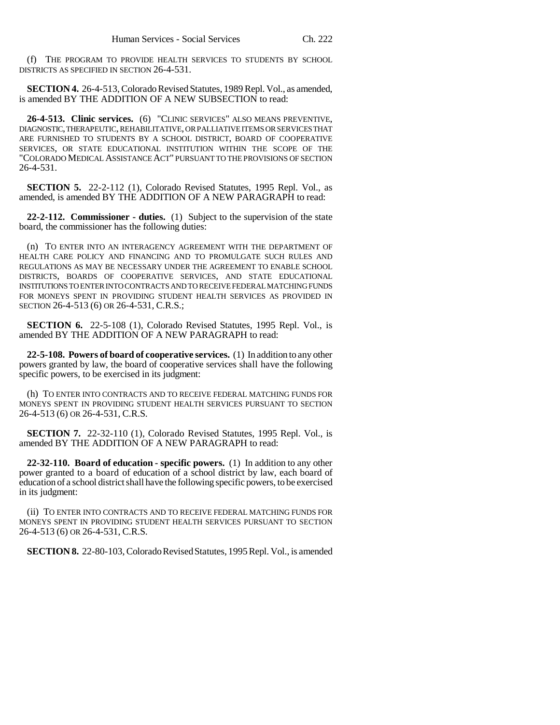(f) THE PROGRAM TO PROVIDE HEALTH SERVICES TO STUDENTS BY SCHOOL DISTRICTS AS SPECIFIED IN SECTION 26-4-531.

**SECTION 4.** 26-4-513, Colorado Revised Statutes, 1989 Repl. Vol., as amended, is amended BY THE ADDITION OF A NEW SUBSECTION to read:

**26-4-513. Clinic services.** (6) "CLINIC SERVICES" ALSO MEANS PREVENTIVE, DIAGNOSTIC, THERAPEUTIC, REHABILITATIVE, OR PALLIATIVE ITEMS OR SERVICES THAT ARE FURNISHED TO STUDENTS BY A SCHOOL DISTRICT, BOARD OF COOPERATIVE SERVICES, OR STATE EDUCATIONAL INSTITUTION WITHIN THE SCOPE OF THE "COLORADO MEDICAL ASSISTANCE ACT" PURSUANT TO THE PROVISIONS OF SECTION 26-4-531.

**SECTION 5.** 22-2-112 (1), Colorado Revised Statutes, 1995 Repl. Vol., as amended, is amended BY THE ADDITION OF A NEW PARAGRAPH to read:

**22-2-112. Commissioner - duties.** (1) Subject to the supervision of the state board, the commissioner has the following duties:

(n) TO ENTER INTO AN INTERAGENCY AGREEMENT WITH THE DEPARTMENT OF HEALTH CARE POLICY AND FINANCING AND TO PROMULGATE SUCH RULES AND REGULATIONS AS MAY BE NECESSARY UNDER THE AGREEMENT TO ENABLE SCHOOL DISTRICTS, BOARDS OF COOPERATIVE SERVICES, AND STATE EDUCATIONAL INSTITUTIONS TO ENTER INTO CONTRACTS AND TO RECEIVE FEDERAL MATCHING FUNDS FOR MONEYS SPENT IN PROVIDING STUDENT HEALTH SERVICES AS PROVIDED IN SECTION 26-4-513 (6) OR 26-4-531, C.R.S.;

**SECTION 6.** 22-5-108 (1), Colorado Revised Statutes, 1995 Repl. Vol., is amended BY THE ADDITION OF A NEW PARAGRAPH to read:

**22-5-108. Powers of board of cooperative services.** (1) In addition to any other powers granted by law, the board of cooperative services shall have the following specific powers, to be exercised in its judgment:

(h) TO ENTER INTO CONTRACTS AND TO RECEIVE FEDERAL MATCHING FUNDS FOR MONEYS SPENT IN PROVIDING STUDENT HEALTH SERVICES PURSUANT TO SECTION 26-4-513 (6) OR 26-4-531, C.R.S.

**SECTION 7.** 22-32-110 (1), Colorado Revised Statutes, 1995 Repl. Vol., is amended BY THE ADDITION OF A NEW PARAGRAPH to read:

**22-32-110. Board of education - specific powers.** (1) In addition to any other power granted to a board of education of a school district by law, each board of education of a school district shall have the following specific powers, to be exercised in its judgment:

(ii) TO ENTER INTO CONTRACTS AND TO RECEIVE FEDERAL MATCHING FUNDS FOR MONEYS SPENT IN PROVIDING STUDENT HEALTH SERVICES PURSUANT TO SECTION 26-4-513 (6) OR 26-4-531, C.R.S.

**SECTION 8.** 22-80-103, Colorado Revised Statutes, 1995 Repl. Vol., is amended